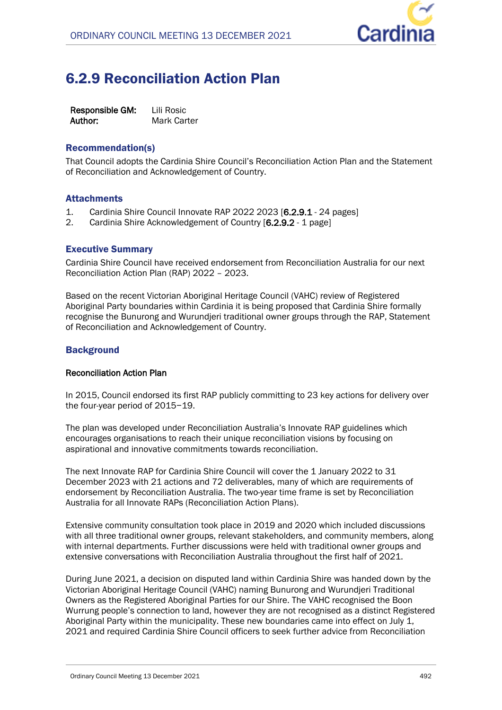

## 6.2.9 Reconciliation Action Plan

**Responsible GM:** Lili Rosic Author: Mark Carter

## Recommendation(s)

That Council adopts the Cardinia Shire Council's Reconciliation Action Plan and the Statement of Reconciliation and Acknowledgement of Country.

## **Attachments**

- 1. Cardinia Shire Council Innovate RAP 2022 2023 [**6.2.9.1** 24 pages]
- 2. Cardinia Shire Acknowledgement of Country [**6.2.9.2** 1 page]

## Executive Summary

Cardinia Shire Council have received endorsement from Reconciliation Australia for our next Reconciliation Action Plan (RAP) 2022 – 2023.

Based on the recent Victorian Aboriginal Heritage Council (VAHC) review of Registered Aboriginal Party boundaries within Cardinia it is being proposed that Cardinia Shire formally recognise the Bunurong and Wurundjeri traditional owner groups through the RAP, Statement of Reconciliation and Acknowledgement of Country.

## **Background**

## **Reconciliation Action Plan**

In 2015, Council endorsed its first RAP publicly committing to 23 key actions for delivery over the four-year period of 2015−19.

The plan was developed under Reconciliation Australia's Innovate RAP guidelines which encourages organisations to reach their unique reconciliation visions by focusing on aspirational and innovative commitments towards reconciliation.

The next Innovate RAP for Cardinia Shire Council will cover the 1 January 2022 to 31 December 2023 with 21 actions and 72 deliverables, many of which are requirements of endorsement by Reconciliation Australia. The two-year time frame is set by Reconciliation Australia for all Innovate RAPs (Reconciliation Action Plans).

Extensive community consultation took place in 2019 and 2020 which included discussions with all three traditional owner groups, relevant stakeholders, and community members, along with internal departments. Further discussions were held with traditional owner groups and extensive conversations with Reconciliation Australia throughout the first half of 2021.

During June 2021, a decision on disputed land within Cardinia Shire was handed down by the Victorian Aboriginal Heritage Council (VAHC) naming Bunurong and Wurundjeri Traditional Owners as the Registered Aboriginal Parties for our Shire. The VAHC recognised the Boon Wurrung people's connection to land, however they are not recognised as a distinct Registered Aboriginal Party within the municipality. These new boundaries came into effect on July 1, 2021 and required Cardinia Shire Council officers to seek further advice from Reconciliation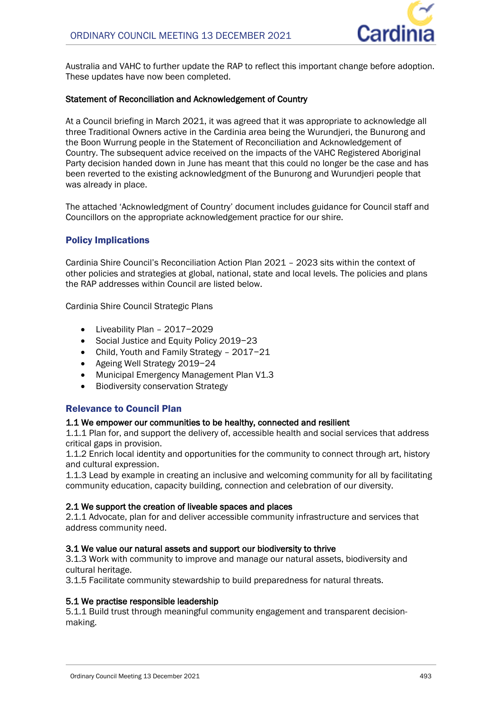

Australia and VAHC to further update the RAP to reflect this important change before adoption. These updates have now been completed.

## **Statement of Reconciliation and Acknowledgement of Country**

At a Council briefing in March 2021, it was agreed that it was appropriate to acknowledge all three Traditional Owners active in the Cardinia area being the Wurundjeri, the Bunurong and the Boon Wurrung people in the Statement of Reconciliation and Acknowledgement of Country. The subsequent advice received on the impacts of the VAHC Registered Aboriginal Party decision handed down in June has meant that this could no longer be the case and has been reverted to the existing acknowledgment of the Bunurong and Wurundjeri people that was already in place.

The attached 'Acknowledgment of Country' document includes guidance for Council staff and Councillors on the appropriate acknowledgement practice for our shire.

## Policy Implications

Cardinia Shire Council's Reconciliation Action Plan 2021 – 2023 sits within the context of other policies and strategies at global, national, state and local levels. The policies and plans the RAP addresses within Council are listed below.

Cardinia Shire Council Strategic Plans

- Liveability Plan 2017−2029
- Social Justice and Equity Policy 2019−23
- Child, Youth and Family Strategy 2017−21
- Ageing Well Strategy 2019−24
- Municipal Emergency Management Plan V1.3
- Biodiversity conservation Strategy

## Relevance to Council Plan

## **1.1 We empower our communities to be healthy, connected and resilient**

1.1.1 Plan for, and support the delivery of, accessible health and social services that address critical gaps in provision.

1.1.2 Enrich local identity and opportunities for the community to connect through art, history and cultural expression.

1.1.3 Lead by example in creating an inclusive and welcoming community for all by facilitating community education, capacity building, connection and celebration of our diversity.

## **2.1 We support the creation of liveable spaces and places**

2.1.1 Advocate, plan for and deliver accessible community infrastructure and services that address community need.

## **3.1 We value our natural assets and support our biodiversity to thrive**

3.1.3 Work with community to improve and manage our natural assets, biodiversity and cultural heritage.

3.1.5 Facilitate community stewardship to build preparedness for natural threats.

## **5.1 We practise responsible leadership**

5.1.1 Build trust through meaningful community engagement and transparent decisionmaking.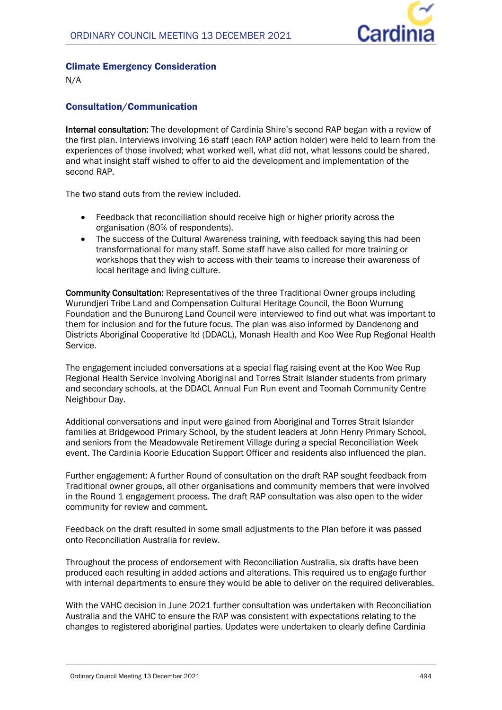

## Climate Emergency Consideration

N/A

## Consultation/Communication

**Internal consultation:** The development of Cardinia Shire's second RAP began with a review of the first plan. Interviews involving 16 staff (each RAP action holder) were held to learn from the experiences of those involved; what worked well, what did not, what lessons could be shared, and what insight staff wished to offer to aid the development and implementation of the second RAP.

The two stand outs from the review included.

- Feedback that reconciliation should receive high or higher priority across the organisation (80% of respondents).
- The success of the Cultural Awareness training, with feedback saying this had been transformational for many staff. Some staff have also called for more training or workshops that they wish to access with their teams to increase their awareness of local heritage and living culture.

**Community Consultation:** Representatives of the three Traditional Owner groups including Wurundjeri Tribe Land and Compensation Cultural Heritage Council, the Boon Wurrung Foundation and the Bunurong Land Council were interviewed to find out what was important to them for inclusion and for the future focus. The plan was also informed by Dandenong and Districts Aboriginal Cooperative ltd (DDACL), Monash Health and Koo Wee Rup Regional Health Service.

The engagement included conversations at a special flag raising event at the Koo Wee Rup Regional Health Service involving Aboriginal and Torres Strait Islander students from primary and secondary schools, at the DDACL Annual Fun Run event and Toomah Community Centre Neighbour Day.

Additional conversations and input were gained from Aboriginal and Torres Strait Islander families at Bridgewood Primary School, by the student leaders at John Henry Primary School, and seniors from the Meadowvale Retirement Village during a special Reconciliation Week event. The Cardinia Koorie Education Support Officer and residents also influenced the plan.

Further engagement: A further Round of consultation on the draft RAP sought feedback from Traditional owner groups, all other organisations and community members that were involved in the Round 1 engagement process. The draft RAP consultation was also open to the wider community for review and comment.

Feedback on the draft resulted in some small adjustments to the Plan before it was passed onto Reconciliation Australia for review.

Throughout the process of endorsement with Reconciliation Australia, six drafts have been produced each resulting in added actions and alterations. This required us to engage further with internal departments to ensure they would be able to deliver on the required deliverables.

With the VAHC decision in June 2021 further consultation was undertaken with Reconciliation Australia and the VAHC to ensure the RAP was consistent with expectations relating to the changes to registered aboriginal parties. Updates were undertaken to clearly define Cardinia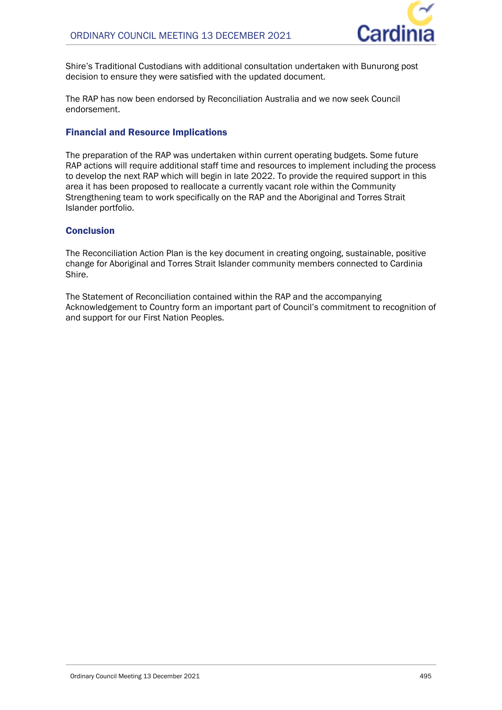

Shire's Traditional Custodians with additional consultation undertaken with Bunurong post decision to ensure they were satisfied with the updated document.

The RAP has now been endorsed by Reconciliation Australia and we now seek Council endorsement.

## Financial and Resource Implications

The preparation of the RAP was undertaken within current operating budgets. Some future RAP actions will require additional staff time and resources to implement including the process to develop the next RAP which will begin in late 2022. To provide the required support in this area it has been proposed to reallocate a currently vacant role within the Community Strengthening team to work specifically on the RAP and the Aboriginal and Torres Strait Islander portfolio.

## Conclusion

The Reconciliation Action Plan is the key document in creating ongoing, sustainable, positive change for Aboriginal and Torres Strait Islander community members connected to Cardinia Shire.

The Statement of Reconciliation contained within the RAP and the accompanying Acknowledgement to Country form an important part of Council's commitment to recognition of and support for our First Nation Peoples.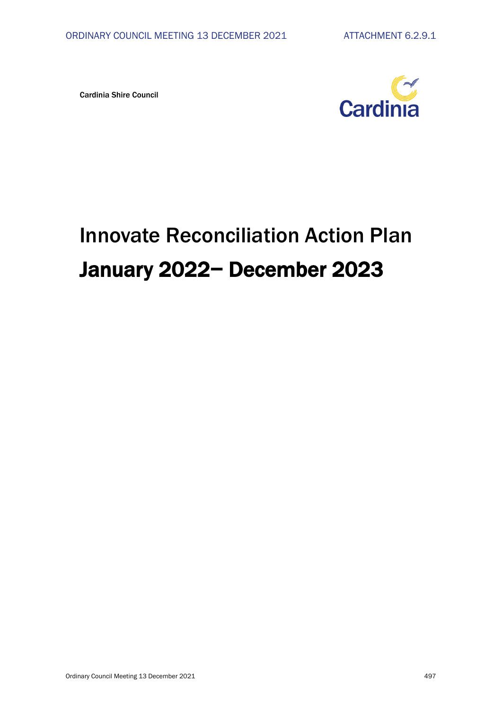Cardinia Shire Council



## Innovate Reconciliation Action Plan January 2022− December 2023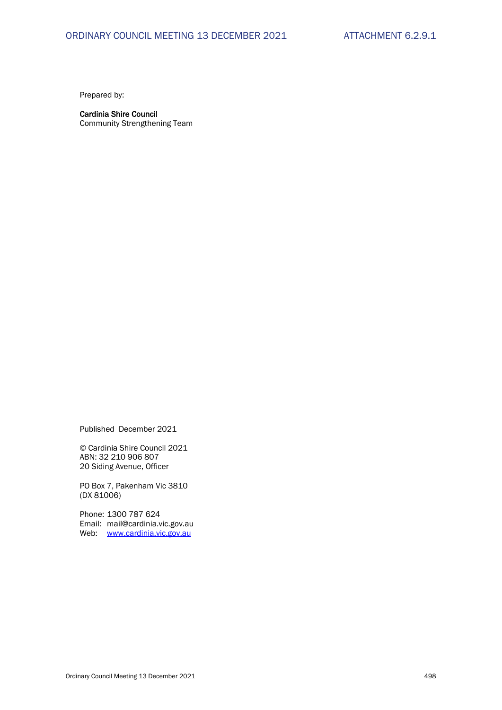Prepared by:

## Cardinia Shire Council

Community Strengthening Team

Published December 2021

© Cardinia Shire Council 2021 ABN: 32 210 906 807 20 Siding Avenue, Officer

PO Box 7, Pakenham Vic 3810 (DX 81006)

Phone: 1300 787 624 Email: mail@cardinia.vic.gov.au Web: [www.cardinia.vic.gov.au](http://www.cardinia.vic.gov.au/)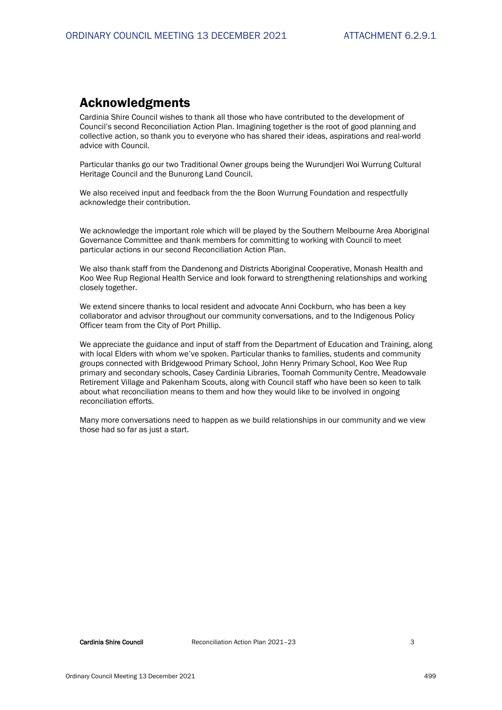## Acknowledgments

Cardinia Shire Council wishes to thank all those who have contributed to the development of Council's second Reconciliation Action Plan. Imagining together is the root of good planning and collective action, so thank you to everyone who has shared their ideas, aspirations and real-world advice with Council.

Particular thanks go our two Traditional Owner groups being the Wurundjeri Woi Wurrung Cultural Heritage Council and the Bunurong Land Council.

We also received input and feedback from the the Boon Wurrung Foundation and respectfully acknowledge their contribution.

We acknowledge the important role which will be played by the Southern Melbourne Area Aboriginal Governance Committee and thank members for committing to working with Council to meet particular actions in our second Reconciliation Action Plan.

We also thank staff from the Dandenong and Districts Aboriginal Cooperative, Monash Health and Koo Wee Rup Regional Health Service and look forward to strengthening relationships and working closely together.

We extend sincere thanks to local resident and advocate Anni Cockburn, who has been a key collaborator and advisor throughout our community conversations, and to the Indigenous Policy Officer team from the City of Port Phillip.

We appreciate the guidance and input of staff from the Department of Education and Training, along with local Elders with whom we've spoken. Particular thanks to families, students and community groups connected with Bridgewood Primary School, John Henry Primary School, Koo Wee Rup primary and secondary schools, Casey Cardinia Libraries, Toomah Community Centre, Meadowvale Retirement Village and Pakenham Scouts, along with Council staff who have been so keen to talk about what reconciliation means to them and how they would like to be involved in ongoing reconciliation efforts.

Many more conversations need to happen as we build relationships in our community and we view those had so far as just a start.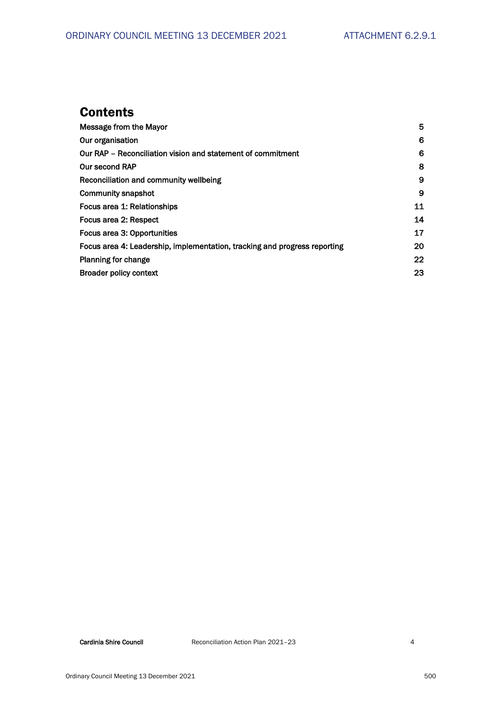## **Contents**

| Message from the Mayor                                                    | 5  |
|---------------------------------------------------------------------------|----|
| Our organisation                                                          | 6  |
| Our RAP – Reconciliation vision and statement of commitment               | 6  |
| <b>Our second RAP</b>                                                     | 8  |
| Reconciliation and community wellbeing                                    | 9  |
| <b>Community snapshot</b>                                                 | 9  |
| Focus area 1: Relationships                                               | 11 |
| Focus area 2: Respect                                                     | 14 |
| Focus area 3: Opportunities                                               | 17 |
| Focus area 4: Leadership, implementation, tracking and progress reporting | 20 |
| <b>Planning for change</b>                                                | 22 |
| <b>Broader policy context</b>                                             | 23 |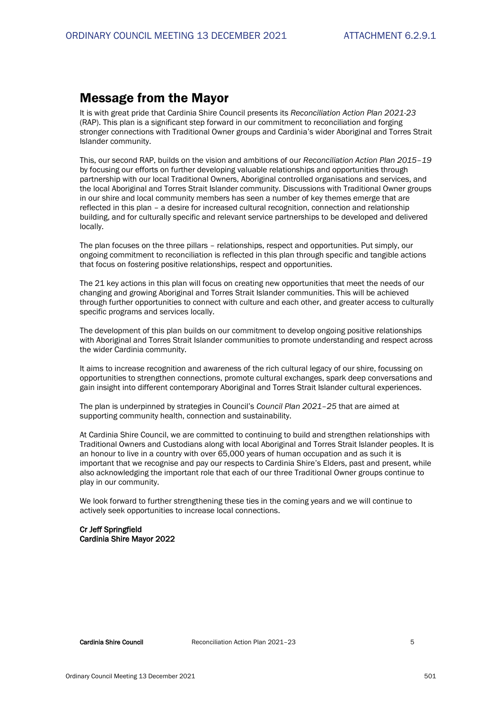## Message from the Mayor

It is with great pride that Cardinia Shire Council presents its *Reconciliation Action Plan 2021-23* (RAP). This plan is a significant step forward in our commitment to reconciliation and forging stronger connections with Traditional Owner groups and Cardinia's wider Aboriginal and Torres Strait Islander community.

This, our second RAP, builds on the vision and ambitions of our *Reconciliation Action Plan 2015–19* by focusing our efforts on further developing valuable relationships and opportunities through partnership with our local Traditional Owners, Aboriginal controlled organisations and services, and the local Aboriginal and Torres Strait Islander community. Discussions with Traditional Owner groups in our shire and local community members has seen a number of key themes emerge that are reflected in this plan – a desire for increased cultural recognition, connection and relationship building, and for culturally specific and relevant service partnerships to be developed and delivered locally.

The plan focuses on the three pillars – relationships, respect and opportunities. Put simply, our ongoing commitment to reconciliation is reflected in this plan through specific and tangible actions that focus on fostering positive relationships, respect and opportunities.

The 21 key actions in this plan will focus on creating new opportunities that meet the needs of our changing and growing Aboriginal and Torres Strait Islander communities. This will be achieved through further opportunities to connect with culture and each other, and greater access to culturally specific programs and services locally.

The development of this plan builds on our commitment to develop ongoing positive relationships with Aboriginal and Torres Strait Islander communities to promote understanding and respect across the wider Cardinia community.

It aims to increase recognition and awareness of the rich cultural legacy of our shire, focussing on opportunities to strengthen connections, promote cultural exchanges, spark deep conversations and gain insight into different contemporary Aboriginal and Torres Strait Islander cultural experiences.

The plan is underpinned by strategies in Council's *Council Plan 2021–25* that are aimed at supporting community health, connection and sustainability.

At Cardinia Shire Council, we are committed to continuing to build and strengthen relationships with Traditional Owners and Custodians along with local Aboriginal and Torres Strait Islander peoples. It is an honour to live in a country with over 65,000 years of human occupation and as such it is important that we recognise and pay our respects to Cardinia Shire's Elders, past and present, while also acknowledging the important role that each of our three Traditional Owner groups continue to play in our community.

We look forward to further strengthening these ties in the coming years and we will continue to actively seek opportunities to increase local connections.

#### Cr Jeff Springfield Cardinia Shire Mayor 2022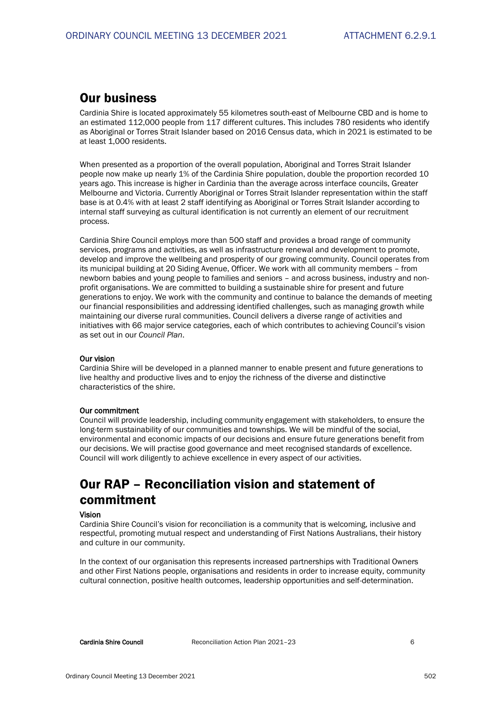## **Our business**

Cardinia Shire is located approximately 55 kilometres south-east of Melbourne CBD and is home to an estimated 112,000 people from 117 different cultures. This includes 780 residents who identify as Aboriginal or Torres Strait Islander based on 2016 Census data, which in 2021 is estimated to be at least 1,000 residents.

When presented as a proportion of the overall population, Aboriginal and Torres Strait Islander people now make up nearly 1% of the Cardinia Shire population, double the proportion recorded 10 years ago. This increase is higher in Cardinia than the average across interface councils, Greater Melbourne and Victoria. Currently Aboriginal or Torres Strait Islander representation within the staff base is at 0.4% with at least 2 staff identifying as Aboriginal or Torres Strait Islander according to internal staff surveying as cultural identification is not currently an element of our recruitment process.

Cardinia Shire Council employs more than 500 staff and provides a broad range of community services, programs and activities, as well as infrastructure renewal and development to promote, develop and improve the wellbeing and prosperity of our growing community. Council operates from its municipal building at 20 Siding Avenue, Officer. We work with all community members – from newborn babies and young people to families and seniors – and across business, industry and nonprofit organisations. We are committed to building a sustainable shire for present and future generations to enjoy. We work with the community and continue to balance the demands of meeting our financial responsibilities and addressing identified challenges, such as managing growth while maintaining our diverse rural communities. Council delivers a diverse range of activities and initiatives with 66 major service categories, each of which contributes to achieving Council's vision as set out in our *Council Plan*.

#### Our vision

Cardinia Shire will be developed in a planned manner to enable present and future generations to live healthy and productive lives and to enjoy the richness of the diverse and distinctive characteristics of the shire.

#### Our commitment

Council will provide leadership, including community engagement with stakeholders, to ensure the long-term sustainability of our communities and townships. We will be mindful of the social, environmental and economic impacts of our decisions and ensure future generations benefit from our decisions. We will practise good governance and meet recognised standards of excellence. Council will work diligently to achieve excellence in every aspect of our activities.

## Our RAP – Reconciliation vision and statement of commitment

#### Vision

Cardinia Shire Council's vision for reconciliation is a community that is welcoming, inclusive and respectful, promoting mutual respect and understanding of First Nations Australians, their history and culture in our community.

In the context of our organisation this represents increased partnerships with Traditional Owners and other First Nations people, organisations and residents in order to increase equity, community cultural connection, positive health outcomes, leadership opportunities and self-determination.

Cardinia Shire Council Reconciliation Action Plan 2021–23 6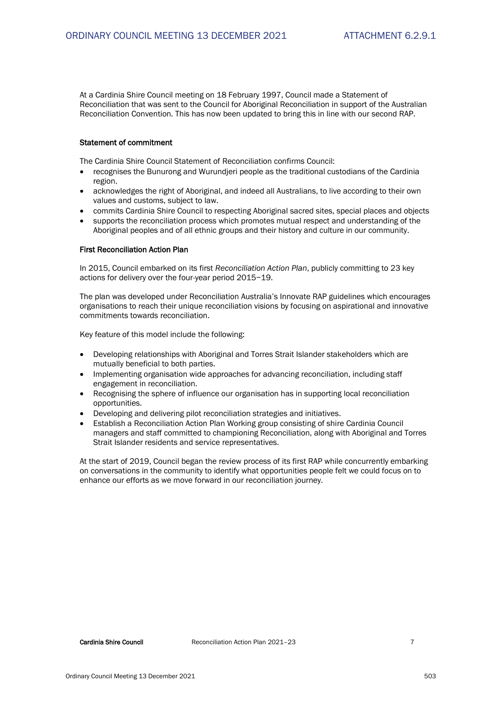At a Cardinia Shire Council meeting on 18 February 1997, Council made a Statement of Reconciliation that was sent to the Council for Aboriginal Reconciliation in support of the Australian Reconciliation Convention. This has now been updated to bring this in line with our second RAP.

#### Statement of commitment

The Cardinia Shire Council Statement of Reconciliation confirms Council:

- recognises the Bunurong and Wurundjeri people as the traditional custodians of the Cardinia region.
- acknowledges the right of Aboriginal, and indeed all Australians, to live according to their own values and customs, subject to law.
- commits Cardinia Shire Council to respecting Aboriginal sacred sites, special places and objects
- supports the reconciliation process which promotes mutual respect and understanding of the Aboriginal peoples and of all ethnic groups and their history and culture in our community.

#### First Reconciliation Action Plan

In 2015, Council embarked on its first *Reconciliation Action Plan*, publicly committing to 23 key actions for delivery over the four-year period 2015−19.

The plan was developed under Reconciliation Australia's Innovate RAP guidelines which encourages organisations to reach their unique reconciliation visions by focusing on aspirational and innovative commitments towards reconciliation.

Key feature of this model include the following:

- Developing relationships with Aboriginal and Torres Strait Islander stakeholders which are mutually beneficial to both parties.
- Implementing organisation wide approaches for advancing reconciliation, including staff engagement in reconciliation.
- Recognising the sphere of influence our organisation has in supporting local reconciliation opportunities.
- Developing and delivering pilot reconciliation strategies and initiatives.
- Establish a Reconciliation Action Plan Working group consisting of shire Cardinia Council managers and staff committed to championing Reconciliation, along with Aboriginal and Torres Strait Islander residents and service representatives.

At the start of 2019, Council began the review process of its first RAP while concurrently embarking on conversations in the community to identify what opportunities people felt we could focus on to enhance our efforts as we move forward in our reconciliation journey.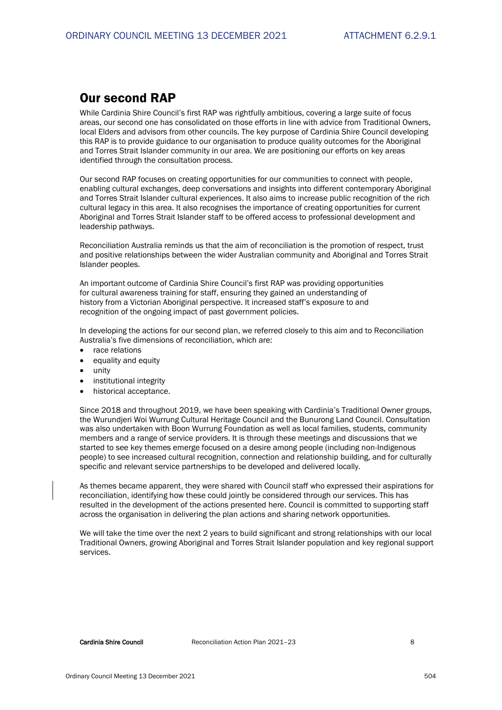## Our second RAP

While Cardinia Shire Council's first RAP was rightfully ambitious, covering a large suite of focus areas, our second one has consolidated on those efforts in line with advice from Traditional Owners, local Elders and advisors from other councils. The key purpose of Cardinia Shire Council developing this RAP is to provide guidance to our organisation to produce quality outcomes for the Aboriginal and Torres Strait Islander community in our area. We are positioning our efforts on key areas identified through the consultation process.

Our second RAP focuses on creating opportunities for our communities to connect with people, enabling cultural exchanges, deep conversations and insights into different contemporary Aboriginal and Torres Strait Islander cultural experiences. It also aims to increase public recognition of the rich cultural legacy in this area. It also recognises the importance of creating opportunities for current Aboriginal and Torres Strait Islander staff to be offered access to professional development and leadership pathways.

Reconciliation Australia reminds us that the aim of reconciliation is the promotion of respect, trust and positive relationships between the wider Australian community and Aboriginal and Torres Strait Islander peoples.

An important outcome of Cardinia Shire Council's first RAP was providing opportunities for cultural awareness training for staff, ensuring they gained an understanding of history from a Victorian Aboriginal perspective. It increased staff's exposure to and recognition of the ongoing impact of past government policies.

In developing the actions for our second plan, we referred closely to this aim and to Reconciliation Australia's five dimensions of reconciliation, which are:

- race relations
- equality and equity
- unity
- institutional integrity
- historical acceptance.

Since 2018 and throughout 2019, we have been speaking with Cardinia's Traditional Owner groups, the Wurundjeri Woi Wurrung Cultural Heritage Council and the Bunurong Land Council. Consultation was also undertaken with Boon Wurrung Foundation as well as local families, students, community members and a range of service providers. It is through these meetings and discussions that we started to see key themes emerge focused on a desire among people (including non-Indigenous people) to see increased cultural recognition, connection and relationship building, and for culturally specific and relevant service partnerships to be developed and delivered locally.

As themes became apparent, they were shared with Council staff who expressed their aspirations for reconciliation, identifying how these could jointly be considered through our services. This has resulted in the development of the actions presented here. Council is committed to supporting staff across the organisation in delivering the plan actions and sharing network opportunities.

We will take the time over the next 2 years to build significant and strong relationships with our local Traditional Owners, growing Aboriginal and Torres Strait Islander population and key regional support services.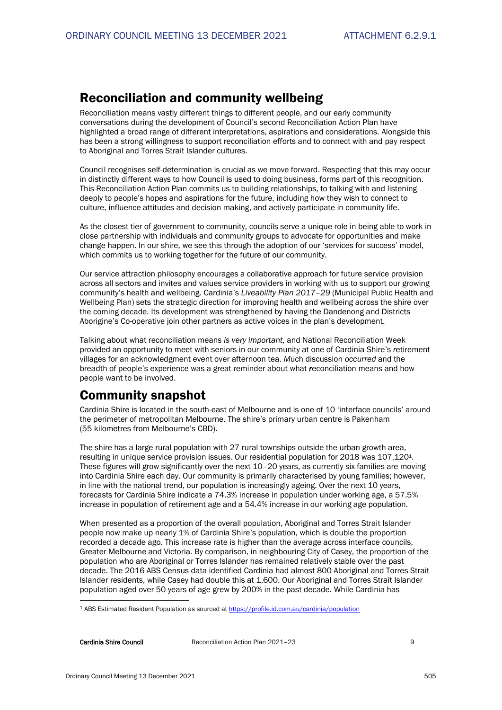## Reconciliation and community wellbeing

Reconciliation means vastly different things to different people, and our early community conversations during the development of Council's second Reconciliation Action Plan have highlighted a broad range of different interpretations, aspirations and considerations. Alongside this has been a strong willingness to support reconciliation efforts and to connect with and pay respect to Aboriginal and Torres Strait Islander cultures.

Council recognises self-determination is crucial as we move forward. Respecting that this may occur in distinctly different ways to how Council is used to doing business, forms part of this recognition. This Reconciliation Action Plan commits us to building relationships, to talking with and listening deeply to people's hopes and aspirations for the future, including how they wish to connect to culture, influence attitudes and decision making, and actively participate in community life.

As the closest tier of government to community, councils serve a unique role in being able to work in close partnership with individuals and community groups to advocate for opportunities and make change happen. In our shire, we see this through the adoption of our 'services for success' model, which commits us to working together for the future of our community.

Our service attraction philosophy encourages a collaborative approach for future service provision across all sectors and invites and values service providers in working with us to support our growing community's health and wellbeing. Cardinia's *Liveability Plan 2017–29* (Municipal Public Health and Wellbeing Plan) sets the strategic direction for improving health and wellbeing across the shire over the coming decade. Its development was strengthened by having the Dandenong and Districts Aborigine's Co-operative join other partners as active voices in the plan's development.

Talking about what reconciliation means *is very important*, and National Reconciliation Week provided an opportunity to meet with seniors in our community at one of Cardinia Shire's *r*etirement villages for an acknowledgment event over afternoon tea. *M*uch discussion *occurred* and the breadth of people's experience was a great reminder about what *r*econciliation means and how people want to be involved.

## Community snapshot

Cardinia Shire is located in the south-east of Melbourne and is one of 10 'interface councils' around the perimeter of metropolitan Melbourne. The shire's primary urban centre is Pakenham (55 kilometres from Melbourne's CBD).

The shire has a large rural population with 27 rural townships outside the urban growth area, resulting in unique service provision issues. Our residential population for 2018 was 107,1201. These figures will grow significantly over the next 10–20 years, as currently six families are moving into Cardinia Shire each day. Our community is primarily characterised by young families; however, in line with the national trend, our population is increasingly ageing. Over the next 10 years, forecasts for Cardinia Shire indicate a 74.3% increase in population under working age, a 57.5% increase in population of retirement age and a 54.4% increase in our working age population.

When presented as a proportion of the overall population, Aboriginal and Torres Strait Islander people now make up nearly 1% of Cardinia Shire's population, which is double the proportion recorded a decade ago. This increase rate is higher than the average across interface councils, Greater Melbourne and Victoria. By comparison, in neighbouring City of Casey, the proportion of the population who are Aboriginal or Torres Islander has remained relatively stable over the past decade. The 2016 ABS Census data identified Cardinia had almost 800 Aboriginal and Torres Strait Islander residents, while Casey had double this at 1,600. Our Aboriginal and Torres Strait Islander population aged over 50 years of age grew by 200% in the past decade. While Cardinia has

<sup>1</sup> ABS Estimated Resident Population as sourced a[t https://profile.id.com.au/cardinia/population](https://profile.id.com.au/cardinia/population)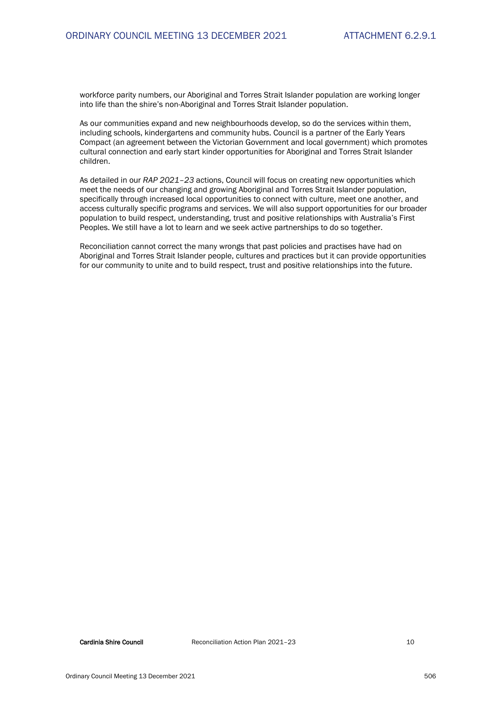workforce parity numbers, our Aboriginal and Torres Strait Islander population are working longer into life than the shire's non-Aboriginal and Torres Strait Islander population.

As our communities expand and new neighbourhoods develop, so do the services within them, including schools, kindergartens and community hubs. Council is a partner of the Early Years Compact (an agreement between the Victorian Government and local government) which promotes cultural connection and early start kinder opportunities for Aboriginal and Torres Strait Islander children.

As detailed in our *RAP 2021–23* actions, Council will focus on creating new opportunities which meet the needs of our changing and growing Aboriginal and Torres Strait Islander population, specifically through increased local opportunities to connect with culture, meet one another, and access culturally specific programs and services. We will also support opportunities for our broader population to build respect, understanding, trust and positive relationships with Australia's First Peoples. We still have a lot to learn and we seek active partnerships to do so together.

Reconciliation cannot correct the many wrongs that past policies and practises have had on Aboriginal and Torres Strait Islander people, cultures and practices but it can provide opportunities for our community to unite and to build respect, trust and positive relationships into the future.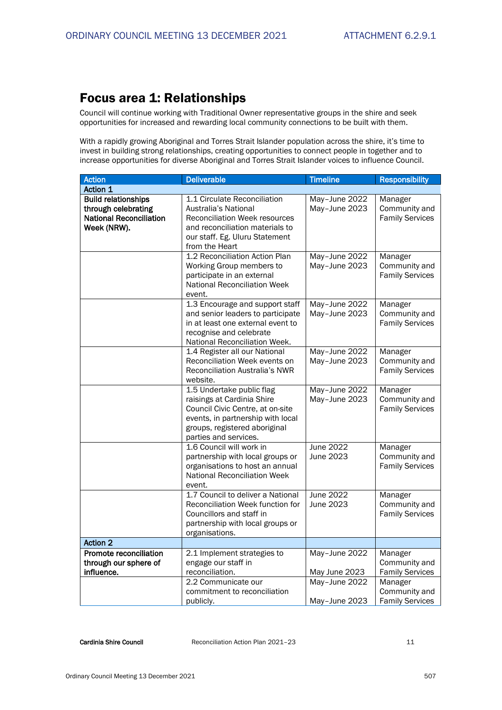## Focus area 1: Relationships

Council will continue working with Traditional Owner representative groups in the shire and seek opportunities for increased and rewarding local community connections to be built with them.

With a rapidly growing Aboriginal and Torres Strait Islander population across the shire, it's time to invest in building strong relationships, creating opportunities to connect people in together and to increase opportunities for diverse Aboriginal and Torres Strait Islander voices to influence Council.

| <b>Action</b>                                                                                      | <b>Deliverable</b>                                                                                                                                                                         | <b>Timeline</b>                | <b>Responsibility</b>                              |
|----------------------------------------------------------------------------------------------------|--------------------------------------------------------------------------------------------------------------------------------------------------------------------------------------------|--------------------------------|----------------------------------------------------|
| Action 1                                                                                           |                                                                                                                                                                                            |                                |                                                    |
| <b>Build relationships</b><br>through celebrating<br><b>National Reconciliation</b><br>Week (NRW). | 1.1 Circulate Reconciliation<br>Australia's National<br><b>Reconciliation Week resources</b><br>and reconciliation materials to<br>our staff. Eg. Uluru Statement<br>from the Heart        | May-June 2022<br>May-June 2023 | Manager<br>Community and<br><b>Family Services</b> |
|                                                                                                    | 1.2 Reconciliation Action Plan<br>Working Group members to<br>participate in an external<br><b>National Reconciliation Week</b><br>event.                                                  | May-June 2022<br>May-June 2023 | Manager<br>Community and<br><b>Family Services</b> |
|                                                                                                    | 1.3 Encourage and support staff<br>and senior leaders to participate<br>in at least one external event to<br>recognise and celebrate<br>National Reconciliation Week.                      | May-June 2022<br>May-June 2023 | Manager<br>Community and<br><b>Family Services</b> |
|                                                                                                    | 1.4 Register all our National<br>Reconciliation Week events on<br>Reconciliation Australia's NWR<br>website.                                                                               | May-June 2022<br>May-June 2023 | Manager<br>Community and<br><b>Family Services</b> |
|                                                                                                    | 1.5 Undertake public flag<br>raisings at Cardinia Shire<br>Council Civic Centre, at on-site<br>events, in partnership with local<br>groups, registered aboriginal<br>parties and services. | May-June 2022<br>May-June 2023 | Manager<br>Community and<br><b>Family Services</b> |
|                                                                                                    | 1.6 Council will work in<br>partnership with local groups or<br>organisations to host an annual<br><b>National Reconciliation Week</b><br>event.                                           | June 2022<br>June 2023         | Manager<br>Community and<br><b>Family Services</b> |
|                                                                                                    | 1.7 Council to deliver a National<br>Reconciliation Week function for<br>Councillors and staff in<br>partnership with local groups or<br>organisations.                                    | <b>June 2022</b><br>June 2023  | Manager<br>Community and<br><b>Family Services</b> |
| <b>Action 2</b>                                                                                    |                                                                                                                                                                                            |                                |                                                    |
| Promote reconciliation<br>through our sphere of<br>influence.                                      | 2.1 Implement strategies to<br>engage our staff in<br>reconciliation.                                                                                                                      | May-June 2022<br>May June 2023 | Manager<br>Community and<br><b>Family Services</b> |
|                                                                                                    | 2.2 Communicate our<br>commitment to reconciliation<br>publicly.                                                                                                                           | May-June 2022<br>May-June 2023 | Manager<br>Community and<br><b>Family Services</b> |

Cardinia Shire Council **Reconciliation Action Plan 2021** - 23 11 12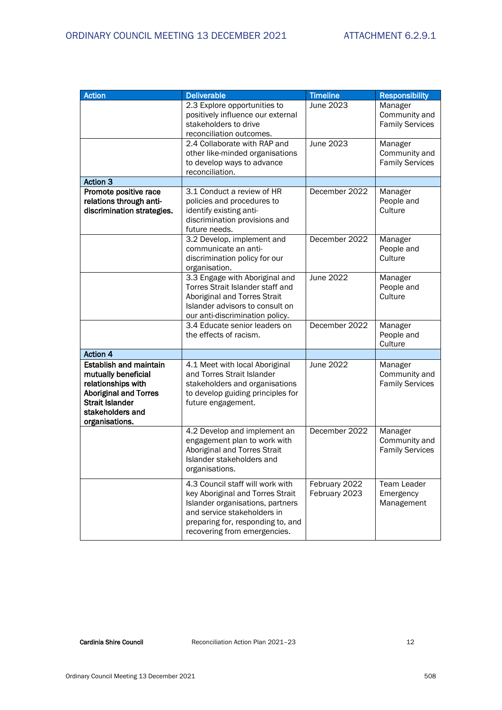| <b>Action</b>                                                                                                                                                              | <b>Deliverable</b>                                                                                                                                                                                           | <b>Timeline</b>                | <b>Responsibility</b>                              |
|----------------------------------------------------------------------------------------------------------------------------------------------------------------------------|--------------------------------------------------------------------------------------------------------------------------------------------------------------------------------------------------------------|--------------------------------|----------------------------------------------------|
|                                                                                                                                                                            | 2.3 Explore opportunities to<br>positively influence our external<br>stakeholders to drive<br>reconciliation outcomes.                                                                                       | June 2023                      | Manager<br>Community and<br><b>Family Services</b> |
|                                                                                                                                                                            | 2.4 Collaborate with RAP and<br>other like-minded organisations<br>to develop ways to advance<br>reconciliation.                                                                                             | June 2023                      | Manager<br>Community and<br><b>Family Services</b> |
| <b>Action 3</b>                                                                                                                                                            |                                                                                                                                                                                                              |                                |                                                    |
| Promote positive race<br>relations through anti-<br>discrimination strategies.                                                                                             | 3.1 Conduct a review of HR<br>policies and procedures to<br>identify existing anti-<br>discrimination provisions and<br>future needs.                                                                        | December 2022                  | Manager<br>People and<br>Culture                   |
|                                                                                                                                                                            | 3.2 Develop, implement and<br>communicate an anti-<br>discrimination policy for our<br>organisation.                                                                                                         | December 2022                  | Manager<br>People and<br>Culture                   |
|                                                                                                                                                                            | 3.3 Engage with Aboriginal and<br>Torres Strait Islander staff and<br>Aboriginal and Torres Strait<br>Islander advisors to consult on<br>our anti-discrimination policy.                                     | June 2022                      | Manager<br>People and<br>Culture                   |
|                                                                                                                                                                            | 3.4 Educate senior leaders on<br>the effects of racism.                                                                                                                                                      | December 2022                  | Manager<br>People and<br>Culture                   |
| <b>Action 4</b>                                                                                                                                                            |                                                                                                                                                                                                              |                                |                                                    |
| <b>Establish and maintain</b><br>mutually beneficial<br>relationships with<br><b>Aboriginal and Torres</b><br><b>Strait Islander</b><br>stakeholders and<br>organisations. | 4.1 Meet with local Aboriginal<br>and Torres Strait Islander<br>stakeholders and organisations<br>to develop guiding principles for<br>future engagement.                                                    | June 2022                      | Manager<br>Community and<br><b>Family Services</b> |
|                                                                                                                                                                            | 4.2 Develop and implement an<br>engagement plan to work with<br>Aboriginal and Torres Strait<br>Islander stakeholders and<br>organisations.                                                                  | December 2022                  | Manager<br>Community and<br><b>Family Services</b> |
|                                                                                                                                                                            | 4.3 Council staff will work with<br>key Aboriginal and Torres Strait<br>Islander organisations, partners<br>and service stakeholders in<br>preparing for, responding to, and<br>recovering from emergencies. | February 2022<br>February 2023 | Team Leader<br>Emergency<br>Management             |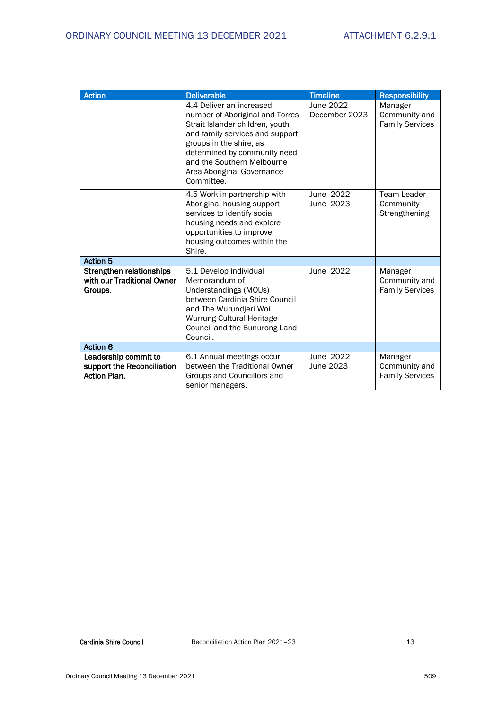| <b>Action</b>                                                             | <b>Deliverable</b>                                                                                                                                                                                                                                                     | <b>Timeline</b>            | <b>Responsibility</b>                              |
|---------------------------------------------------------------------------|------------------------------------------------------------------------------------------------------------------------------------------------------------------------------------------------------------------------------------------------------------------------|----------------------------|----------------------------------------------------|
|                                                                           | 4.4 Deliver an increased<br>number of Aboriginal and Torres<br>Strait Islander children, youth<br>and family services and support<br>groups in the shire, as<br>determined by community need<br>and the Southern Melbourne<br>Area Aboriginal Governance<br>Committee. | June 2022<br>December 2023 | Manager<br>Community and<br><b>Family Services</b> |
|                                                                           | 4.5 Work in partnership with<br>Aboriginal housing support<br>services to identify social<br>housing needs and explore<br>opportunities to improve<br>housing outcomes within the<br>Shire.                                                                            | June 2022<br>June 2023     | Team Leader<br>Community<br>Strengthening          |
| <b>Action 5</b>                                                           |                                                                                                                                                                                                                                                                        |                            |                                                    |
| Strengthen relationships<br>with our Traditional Owner<br>Groups.         | 5.1 Develop individual<br>Memorandum of<br>Understandings (MOUs)<br>between Cardinia Shire Council<br>and The Wurundjeri Woi<br>Wurrung Cultural Heritage<br>Council and the Bunurong Land<br>Council.                                                                 | June 2022                  | Manager<br>Community and<br><b>Family Services</b> |
| Action 6                                                                  |                                                                                                                                                                                                                                                                        |                            |                                                    |
| Leadership commit to<br>support the Reconciliation<br><b>Action Plan.</b> | 6.1 Annual meetings occur<br>between the Traditional Owner<br>Groups and Councillors and<br>senior managers.                                                                                                                                                           | June 2022<br>June 2023     | Manager<br>Community and<br><b>Family Services</b> |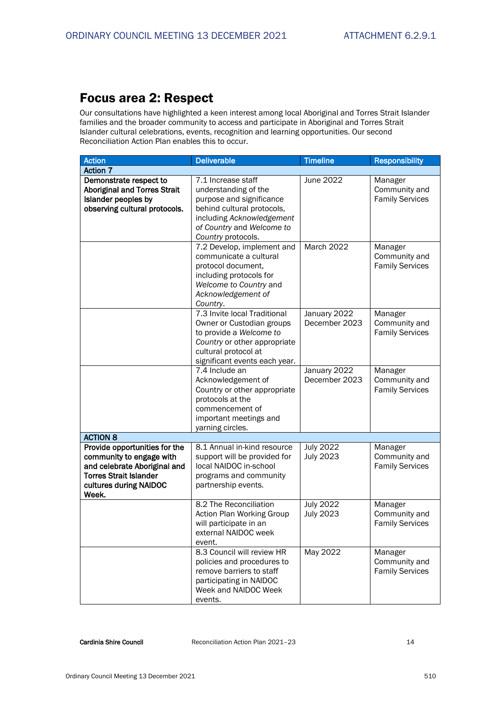## Focus area 2: Respect

Our consultations have highlighted a keen interest among local Aboriginal and Torres Strait Islander families and the broader community to access and participate in Aboriginal and Torres Strait Islander cultural celebrations, events, recognition and learning opportunities. Our second Reconciliation Action Plan enables this to occur.

| <b>Action</b>                                                                                                                                                 | <b>Deliverable</b>                                                                                                                                                                   | <b>Timeline</b>                      | <b>Responsibility</b>                              |
|---------------------------------------------------------------------------------------------------------------------------------------------------------------|--------------------------------------------------------------------------------------------------------------------------------------------------------------------------------------|--------------------------------------|----------------------------------------------------|
| <b>Action 7</b>                                                                                                                                               |                                                                                                                                                                                      |                                      |                                                    |
| Demonstrate respect to<br><b>Aboriginal and Torres Strait</b><br>Islander peoples by<br>observing cultural protocols.                                         | 7.1 Increase staff<br>understanding of the<br>purpose and significance<br>behind cultural protocols,<br>including Acknowledgement<br>of Country and Welcome to<br>Country protocols. | June 2022                            | Manager<br>Community and<br><b>Family Services</b> |
|                                                                                                                                                               | 7.2 Develop, implement and<br>communicate a cultural<br>protocol document,<br>including protocols for<br>Welcome to Country and<br>Acknowledgement of<br>Country.                    | March 2022                           | Manager<br>Community and<br><b>Family Services</b> |
|                                                                                                                                                               | 7.3 Invite local Traditional<br>Owner or Custodian groups<br>to provide a Welcome to<br>Country or other appropriate<br>cultural protocol at<br>significant events each year.        | January 2022<br>December 2023        | Manager<br>Community and<br><b>Family Services</b> |
|                                                                                                                                                               | 7.4 Include an<br>Acknowledgement of<br>Country or other appropriate<br>protocols at the<br>commencement of<br>important meetings and<br>yarning circles.                            | January 2022<br>December 2023        | Manager<br>Community and<br><b>Family Services</b> |
| <b>ACTION 8</b>                                                                                                                                               |                                                                                                                                                                                      |                                      |                                                    |
| Provide opportunities for the<br>community to engage with<br>and celebrate Aboriginal and<br><b>Torres Strait Islander</b><br>cultures during NAIDOC<br>Week. | 8.1 Annual in-kind resource<br>support will be provided for<br>local NAIDOC in-school<br>programs and community<br>partnership events.                                               | <b>July 2022</b><br><b>July 2023</b> | Manager<br>Community and<br><b>Family Services</b> |
|                                                                                                                                                               | 8.2 The Reconciliation<br>Action Plan Working Group<br>will participate in an<br>external NAIDOC week<br>event.                                                                      | <b>July 2022</b><br><b>July 2023</b> | Manager<br>Community and<br><b>Family Services</b> |
|                                                                                                                                                               | 8.3 Council will review HR<br>policies and procedures to<br>remove barriers to staff<br>participating in NAIDOC<br>Week and NAIDOC Week<br>events.                                   | May 2022                             | Manager<br>Community and<br><b>Family Services</b> |

Cardinia Shire Council **Reconciliation Action Plan 2021**-23 14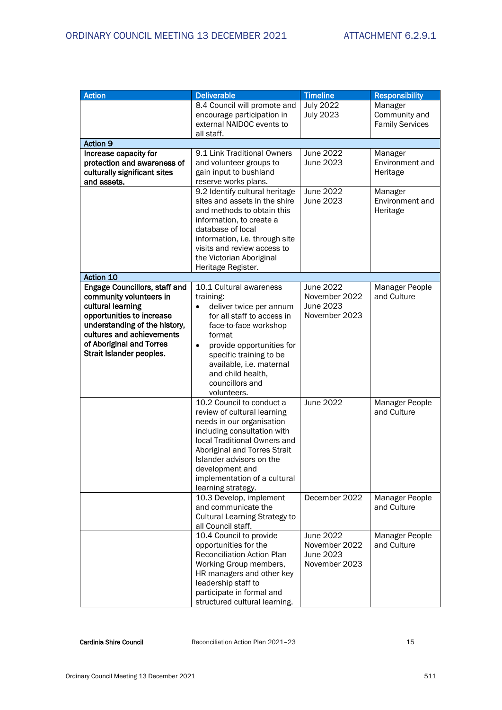| <b>Action</b>                                                                                                                                                                                                                    | <b>Deliverable</b>                                                                                                                                                                                                                                                                                                                 | <b>Timeline</b>                                                       | <b>Responsibility</b>                              |
|----------------------------------------------------------------------------------------------------------------------------------------------------------------------------------------------------------------------------------|------------------------------------------------------------------------------------------------------------------------------------------------------------------------------------------------------------------------------------------------------------------------------------------------------------------------------------|-----------------------------------------------------------------------|----------------------------------------------------|
|                                                                                                                                                                                                                                  | 8.4 Council will promote and<br>encourage participation in<br>external NAIDOC events to<br>all staff.                                                                                                                                                                                                                              | <b>July 2022</b><br><b>July 2023</b>                                  | Manager<br>Community and<br><b>Family Services</b> |
| <b>Action 9</b>                                                                                                                                                                                                                  |                                                                                                                                                                                                                                                                                                                                    |                                                                       |                                                    |
| Increase capacity for<br>protection and awareness of<br>culturally significant sites<br>and assets.                                                                                                                              | 9.1 Link Traditional Owners<br>and volunteer groups to<br>gain input to bushland<br>reserve works plans.                                                                                                                                                                                                                           | June 2022<br>June 2023                                                | Manager<br>Environment and<br>Heritage             |
|                                                                                                                                                                                                                                  | 9.2 Identify cultural heritage<br>sites and assets in the shire<br>and methods to obtain this<br>information, to create a<br>database of local<br>information, i.e. through site<br>visits and review access to<br>the Victorian Aboriginal<br>Heritage Register.                                                                  | June 2022<br>June 2023                                                | Manager<br>Environment and<br>Heritage             |
| Action 10                                                                                                                                                                                                                        |                                                                                                                                                                                                                                                                                                                                    |                                                                       |                                                    |
| Engage Councillors, staff and<br>community volunteers in<br>cultural learning<br>opportunities to increase<br>understanding of the history,<br>cultures and achievements<br>of Aboriginal and Torres<br>Strait Islander peoples. | 10.1 Cultural awareness<br>training:<br>deliver twice per annum<br>$\bullet$<br>for all staff to access in<br>face-to-face workshop<br>format<br>provide opportunities for<br>$\bullet$<br>specific training to be<br>available, i.e. maternal<br>and child health,<br>councillors and<br>volunteers.<br>10.2 Council to conduct a | June 2022<br>November 2022<br>June 2023<br>November 2023<br>June 2022 | Manager People<br>and Culture<br>Manager People    |
|                                                                                                                                                                                                                                  | review of cultural learning<br>needs in our organisation<br>including consultation with<br>local Traditional Owners and<br>Aboriginal and Torres Strait<br>Islander advisors on the<br>development and<br>implementation of a cultural<br>learning strategy.<br>10.3 Develop, implement                                            | December 2022                                                         | and Culture<br>Manager People                      |
|                                                                                                                                                                                                                                  | and communicate the<br>Cultural Learning Strategy to<br>all Council staff.                                                                                                                                                                                                                                                         |                                                                       | and Culture                                        |
|                                                                                                                                                                                                                                  | 10.4 Council to provide<br>opportunities for the<br>Reconciliation Action Plan<br>Working Group members,<br>HR managers and other key<br>leadership staff to<br>participate in formal and<br>structured cultural learning.                                                                                                         | June 2022<br>November 2022<br>June 2023<br>November 2023              | Manager People<br>and Culture                      |

Cardinia Shire Council **Reconciliation Action Plan 2021**–23 15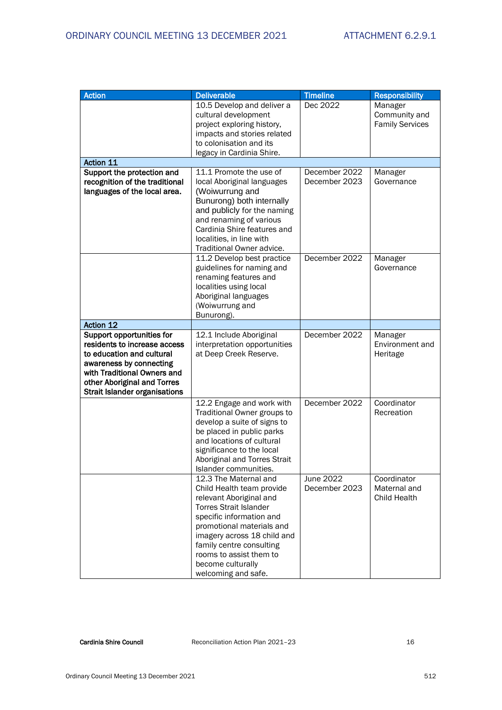| <b>Action</b>                                                                                                                                                                                                           | <b>Deliverable</b>                                                                                                                                                                                                                                                                                        | <b>Timeline</b>                | <b>Responsibility</b>                              |
|-------------------------------------------------------------------------------------------------------------------------------------------------------------------------------------------------------------------------|-----------------------------------------------------------------------------------------------------------------------------------------------------------------------------------------------------------------------------------------------------------------------------------------------------------|--------------------------------|----------------------------------------------------|
|                                                                                                                                                                                                                         | 10.5 Develop and deliver a<br>cultural development<br>project exploring history,<br>impacts and stories related<br>to colonisation and its<br>legacy in Cardinia Shire.                                                                                                                                   | Dec 2022                       | Manager<br>Community and<br><b>Family Services</b> |
| Action 11                                                                                                                                                                                                               |                                                                                                                                                                                                                                                                                                           |                                |                                                    |
| Support the protection and<br>recognition of the traditional<br>languages of the local area.                                                                                                                            | 11.1 Promote the use of<br>local Aboriginal languages<br>(Woiwurrung and<br>Bunurong) both internally<br>and publicly for the naming<br>and renaming of various<br>Cardinia Shire features and<br>localities, in line with<br>Traditional Owner advice.                                                   | December 2022<br>December 2023 | Manager<br>Governance                              |
|                                                                                                                                                                                                                         | 11.2 Develop best practice<br>guidelines for naming and<br>renaming features and<br>localities using local<br>Aboriginal languages<br>(Woiwurrung and<br>Bunurong).                                                                                                                                       | December 2022                  | Manager<br>Governance                              |
| <b>Action 12</b>                                                                                                                                                                                                        |                                                                                                                                                                                                                                                                                                           |                                |                                                    |
| Support opportunities for<br>residents to increase access<br>to education and cultural<br>awareness by connecting<br>with Traditional Owners and<br>other Aboriginal and Torres<br><b>Strait Islander organisations</b> | 12.1 Include Aboriginal<br>interpretation opportunities<br>at Deep Creek Reserve.                                                                                                                                                                                                                         | December 2022                  | Manager<br>Environment and<br>Heritage             |
|                                                                                                                                                                                                                         | 12.2 Engage and work with<br>Traditional Owner groups to<br>develop a suite of signs to<br>be placed in public parks<br>and locations of cultural<br>significance to the local<br>Aboriginal and Torres Strait<br>Islander communities.                                                                   | December 2022                  | Coordinator<br>Recreation                          |
|                                                                                                                                                                                                                         | 12.3 The Maternal and<br>Child Health team provide<br>relevant Aboriginal and<br><b>Torres Strait Islander</b><br>specific information and<br>promotional materials and<br>imagery across 18 child and<br>family centre consulting<br>rooms to assist them to<br>become culturally<br>welcoming and safe. | June 2022<br>December 2023     | Coordinator<br>Maternal and<br>Child Health        |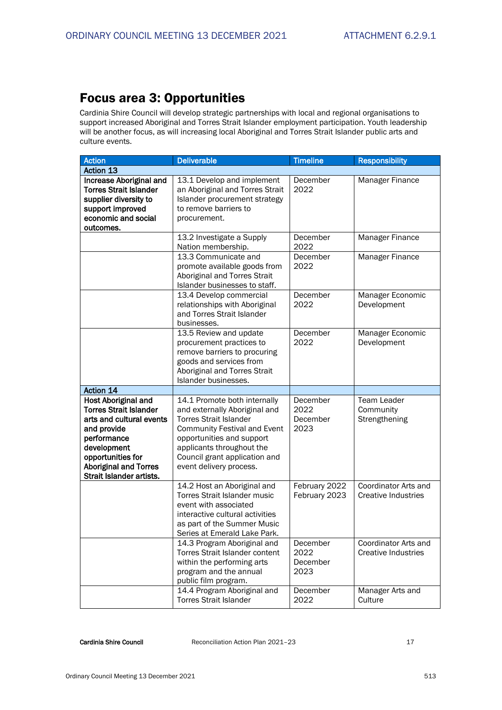## Focus area 3: Opportunities

Cardinia Shire Council will develop strategic partnerships with local and regional organisations to support increased Aboriginal and Torres Strait Islander employment participation. Youth leadership will be another focus, as will increasing local Aboriginal and Torres Strait Islander public arts and culture events.

| <b>Action</b>                 | <b>Deliverable</b>                                                   | <b>Timeline</b>  | <b>Responsibility</b>      |
|-------------------------------|----------------------------------------------------------------------|------------------|----------------------------|
| <b>Action 13</b>              |                                                                      |                  |                            |
| Increase Aboriginal and       | 13.1 Develop and implement                                           | December         | Manager Finance            |
| <b>Torres Strait Islander</b> | an Aboriginal and Torres Strait                                      | 2022             |                            |
| supplier diversity to         | Islander procurement strategy                                        |                  |                            |
| support improved              | to remove barriers to                                                |                  |                            |
| economic and social           | procurement.                                                         |                  |                            |
| outcomes.                     |                                                                      |                  |                            |
|                               | 13.2 Investigate a Supply                                            | December         | Manager Finance            |
|                               | Nation membership.                                                   | 2022             |                            |
|                               | 13.3 Communicate and                                                 | December         | Manager Finance            |
|                               | promote available goods from                                         | 2022             |                            |
|                               | Aboriginal and Torres Strait                                         |                  |                            |
|                               | Islander businesses to staff.                                        |                  |                            |
|                               | 13.4 Develop commercial                                              | December         | Manager Economic           |
|                               | relationships with Aboriginal                                        | 2022             | Development                |
|                               | and Torres Strait Islander                                           |                  |                            |
|                               | businesses.                                                          |                  |                            |
|                               | 13.5 Review and update                                               | December         | Manager Economic           |
|                               | procurement practices to                                             | 2022             | Development                |
|                               | remove barriers to procuring                                         |                  |                            |
|                               | goods and services from                                              |                  |                            |
|                               | Aboriginal and Torres Strait                                         |                  |                            |
|                               | Islander businesses.                                                 |                  |                            |
| Action 14                     |                                                                      |                  |                            |
| <b>Host Aboriginal and</b>    | 14.1 Promote both internally                                         | December         | Team Leader                |
| <b>Torres Strait Islander</b> | and externally Aboriginal and                                        | 2022             | Community                  |
| arts and cultural events      | <b>Torres Strait Islander</b><br><b>Community Festival and Event</b> | December<br>2023 | Strengthening              |
| and provide<br>performance    | opportunities and support                                            |                  |                            |
| development                   | applicants throughout the                                            |                  |                            |
| opportunities for             | Council grant application and                                        |                  |                            |
| <b>Aboriginal and Torres</b>  | event delivery process.                                              |                  |                            |
| Strait Islander artists.      |                                                                      |                  |                            |
|                               | 14.2 Host an Aboriginal and                                          | February 2022    | Coordinator Arts and       |
|                               | <b>Torres Strait Islander music</b>                                  | February 2023    | Creative Industries        |
|                               | event with associated                                                |                  |                            |
|                               | interactive cultural activities                                      |                  |                            |
|                               | as part of the Summer Music                                          |                  |                            |
|                               | Series at Emerald Lake Park.                                         |                  |                            |
|                               | 14.3 Program Aboriginal and                                          | December         | Coordinator Arts and       |
|                               | Torres Strait Islander content                                       | 2022             | <b>Creative Industries</b> |
|                               | within the performing arts                                           | December         |                            |
|                               | program and the annual                                               | 2023             |                            |
|                               | public film program.                                                 |                  |                            |
|                               | 14.4 Program Aboriginal and                                          | December         | Manager Arts and           |
|                               | <b>Torres Strait Islander</b>                                        | 2022             | Culture                    |
|                               |                                                                      |                  |                            |

Cardinia Shire Council **Reconciliation Action Plan 2021**–23 17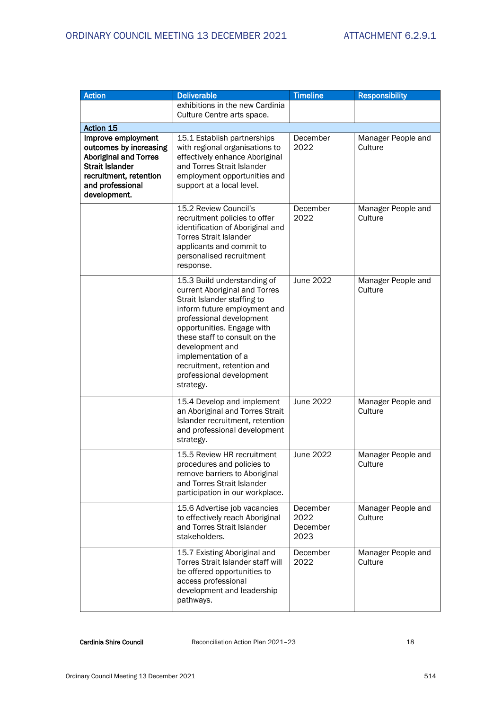| <b>Action</b>                                                                                                                                                        | <b>Deliverable</b>                                                                                                                                                                                                                                                                                                                      | <b>Timeline</b>                      | <b>Responsibility</b>         |
|----------------------------------------------------------------------------------------------------------------------------------------------------------------------|-----------------------------------------------------------------------------------------------------------------------------------------------------------------------------------------------------------------------------------------------------------------------------------------------------------------------------------------|--------------------------------------|-------------------------------|
|                                                                                                                                                                      | exhibitions in the new Cardinia<br>Culture Centre arts space.                                                                                                                                                                                                                                                                           |                                      |                               |
| Action 15                                                                                                                                                            |                                                                                                                                                                                                                                                                                                                                         |                                      |                               |
| Improve employment<br>outcomes by increasing<br><b>Aboriginal and Torres</b><br><b>Strait Islander</b><br>recruitment, retention<br>and professional<br>development. | 15.1 Establish partnerships<br>with regional organisations to<br>effectively enhance Aboriginal<br>and Torres Strait Islander<br>employment opportunities and<br>support at a local level.                                                                                                                                              | December<br>2022                     | Manager People and<br>Culture |
|                                                                                                                                                                      | 15.2 Review Council's<br>recruitment policies to offer<br>identification of Aboriginal and<br><b>Torres Strait Islander</b><br>applicants and commit to<br>personalised recruitment<br>response.                                                                                                                                        | December<br>2022                     | Manager People and<br>Culture |
|                                                                                                                                                                      | 15.3 Build understanding of<br>current Aboriginal and Torres<br>Strait Islander staffing to<br>inform future employment and<br>professional development<br>opportunities. Engage with<br>these staff to consult on the<br>development and<br>implementation of a<br>recruitment, retention and<br>professional development<br>strategy. | June 2022                            | Manager People and<br>Culture |
|                                                                                                                                                                      | 15.4 Develop and implement<br>an Aboriginal and Torres Strait<br>Islander recruitment, retention<br>and professional development<br>strategy.                                                                                                                                                                                           | June 2022                            | Manager People and<br>Culture |
|                                                                                                                                                                      | 15.5 Review HR recruitment<br>procedures and policies to<br>remove barriers to Aboriginal<br>and Torres Strait Islander<br>participation in our workplace.                                                                                                                                                                              | June 2022                            | Manager People and<br>Culture |
|                                                                                                                                                                      | 15.6 Advertise job vacancies<br>to effectively reach Aboriginal<br>and Torres Strait Islander<br>stakeholders.                                                                                                                                                                                                                          | December<br>2022<br>December<br>2023 | Manager People and<br>Culture |
|                                                                                                                                                                      | 15.7 Existing Aboriginal and<br>Torres Strait Islander staff will<br>be offered opportunities to<br>access professional<br>development and leadership<br>pathways.                                                                                                                                                                      | December<br>2022                     | Manager People and<br>Culture |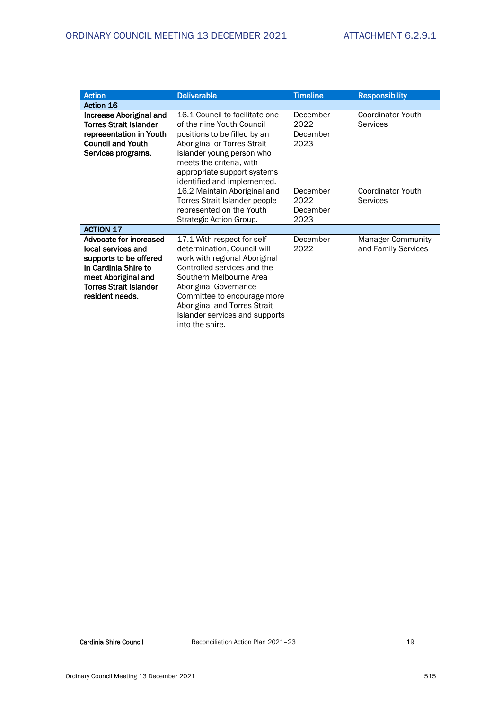| <b>Action</b>                                                                                                                                                             | <b>Deliverable</b>                                                                                                                                                                                                                                                                                 | <b>Timeline</b>                      | <b>Responsibility</b>                           |
|---------------------------------------------------------------------------------------------------------------------------------------------------------------------------|----------------------------------------------------------------------------------------------------------------------------------------------------------------------------------------------------------------------------------------------------------------------------------------------------|--------------------------------------|-------------------------------------------------|
| <b>Action 16</b>                                                                                                                                                          |                                                                                                                                                                                                                                                                                                    |                                      |                                                 |
| Increase Aboriginal and<br><b>Torres Strait Islander</b><br>representation in Youth<br><b>Council and Youth</b><br>Services programs.                                     | 16.1 Council to facilitate one<br>of the nine Youth Council<br>positions to be filled by an<br>Aboriginal or Torres Strait<br>Islander young person who<br>meets the criteria, with<br>appropriate support systems<br>identified and implemented.                                                  | December<br>2022<br>December<br>2023 | <b>Coordinator Youth</b><br>Services            |
|                                                                                                                                                                           | 16.2 Maintain Aboriginal and<br>Torres Strait Islander people<br>represented on the Youth<br>Strategic Action Group.                                                                                                                                                                               | December<br>2022<br>December<br>2023 | <b>Coordinator Youth</b><br>Services            |
| <b>ACTION 17</b>                                                                                                                                                          |                                                                                                                                                                                                                                                                                                    |                                      |                                                 |
| Advocate for increased<br>local services and<br>supports to be offered<br>in Cardinia Shire to<br>meet Aboriginal and<br><b>Torres Strait Islander</b><br>resident needs. | 17.1 With respect for self-<br>determination, Council will<br>work with regional Aboriginal<br>Controlled services and the<br>Southern Melbourne Area<br>Aboriginal Governance<br>Committee to encourage more<br>Aboriginal and Torres Strait<br>Islander services and supports<br>into the shire. | December<br>2022                     | <b>Manager Community</b><br>and Family Services |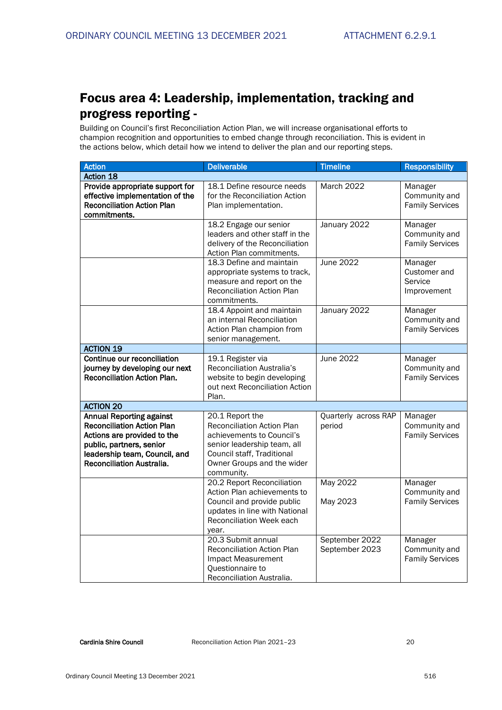## Focus area 4: Leadership, implementation, tracking and progress reporting -

Building on Council's first Reconciliation Action Plan, we will increase organisational efforts to champion recognition and opportunities to embed change through reconciliation. This is evident in the actions below, which detail how we intend to deliver the plan and our reporting steps.

| <b>Action</b>                                                                                                                                                                                 | <b>Deliverable</b>                                                                                                                                                                         | <b>Timeline</b>                  | <b>Responsibility</b>                              |
|-----------------------------------------------------------------------------------------------------------------------------------------------------------------------------------------------|--------------------------------------------------------------------------------------------------------------------------------------------------------------------------------------------|----------------------------------|----------------------------------------------------|
| Action 18                                                                                                                                                                                     |                                                                                                                                                                                            |                                  |                                                    |
| Provide appropriate support for<br>effective implementation of the<br><b>Reconciliation Action Plan</b><br>commitments.                                                                       | 18.1 Define resource needs<br>for the Reconciliation Action<br>Plan implementation.                                                                                                        | March 2022                       | Manager<br>Community and<br><b>Family Services</b> |
|                                                                                                                                                                                               | 18.2 Engage our senior<br>leaders and other staff in the<br>delivery of the Reconciliation<br>Action Plan commitments.                                                                     | January 2022                     | Manager<br>Community and<br><b>Family Services</b> |
|                                                                                                                                                                                               | 18.3 Define and maintain<br>appropriate systems to track,<br>measure and report on the<br>Reconciliation Action Plan<br>commitments.                                                       | June 2022                        | Manager<br>Customer and<br>Service<br>Improvement  |
|                                                                                                                                                                                               | 18.4 Appoint and maintain<br>an internal Reconciliation<br>Action Plan champion from<br>senior management.                                                                                 | January 2022                     | Manager<br>Community and<br><b>Family Services</b> |
| <b>ACTION 19</b>                                                                                                                                                                              |                                                                                                                                                                                            |                                  |                                                    |
| Continue our reconciliation<br>journey by developing our next<br><b>Reconciliation Action Plan.</b>                                                                                           | 19.1 Register via<br>Reconciliation Australia's<br>website to begin developing<br>out next Reconciliation Action<br>Plan.                                                                  | June 2022                        | Manager<br>Community and<br><b>Family Services</b> |
| <b>ACTION 20</b>                                                                                                                                                                              |                                                                                                                                                                                            |                                  |                                                    |
| <b>Annual Reporting against</b><br><b>Reconciliation Action Plan</b><br>Actions are provided to the<br>public, partners, senior<br>leadership team, Council, and<br>Reconciliation Australia. | 20.1 Report the<br><b>Reconciliation Action Plan</b><br>achievements to Council's<br>senior leadership team, all<br>Council staff, Traditional<br>Owner Groups and the wider<br>community. | Quarterly across RAP<br>period   | Manager<br>Community and<br><b>Family Services</b> |
|                                                                                                                                                                                               | 20.2 Report Reconciliation<br>Action Plan achievements to<br>Council and provide public<br>updates in line with National<br>Reconciliation Week each<br>year.                              | May 2022<br>May 2023             | Manager<br>Community and<br><b>Family Services</b> |
|                                                                                                                                                                                               | 20.3 Submit annual<br>Reconciliation Action Plan<br>Impact Measurement<br>Questionnaire to<br>Reconciliation Australia.                                                                    | September 2022<br>September 2023 | Manager<br>Community and<br><b>Family Services</b> |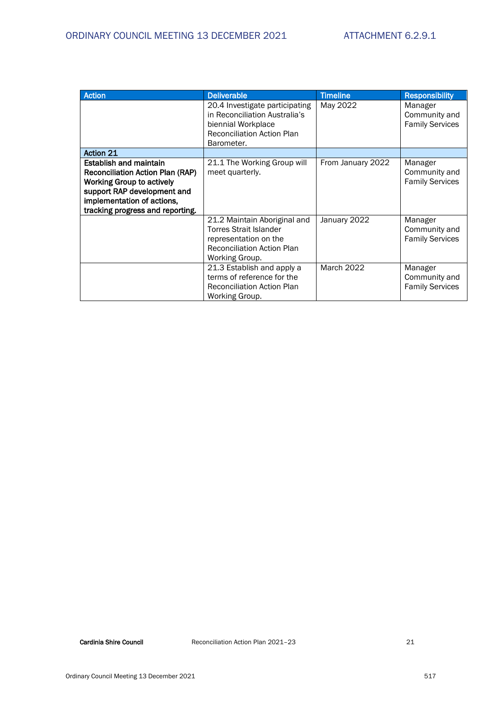| <b>Action</b>                                                                                                                                                                                                 | <b>Deliverable</b>                                                                                                                            | <b>Timeline</b>   | <b>Responsibility</b>                              |
|---------------------------------------------------------------------------------------------------------------------------------------------------------------------------------------------------------------|-----------------------------------------------------------------------------------------------------------------------------------------------|-------------------|----------------------------------------------------|
|                                                                                                                                                                                                               | 20.4 Investigate participating<br>in Reconciliation Australia's<br>biennial Workplace<br><b>Reconciliation Action Plan</b><br>Barometer.      | May 2022          | Manager<br>Community and<br><b>Family Services</b> |
| <b>Action 21</b>                                                                                                                                                                                              |                                                                                                                                               |                   |                                                    |
| <b>Establish and maintain</b><br><b>Reconciliation Action Plan (RAP)</b><br><b>Working Group to actively</b><br>support RAP development and<br>implementation of actions,<br>tracking progress and reporting. | 21.1 The Working Group will<br>meet quarterly.                                                                                                | From January 2022 | Manager<br>Community and<br><b>Family Services</b> |
|                                                                                                                                                                                                               | 21.2 Maintain Aboriginal and<br><b>Torres Strait Islander</b><br>representation on the<br><b>Reconciliation Action Plan</b><br>Working Group. | January 2022      | Manager<br>Community and<br><b>Family Services</b> |
|                                                                                                                                                                                                               | 21.3 Establish and apply a<br>terms of reference for the<br><b>Reconciliation Action Plan</b><br>Working Group.                               | March 2022        | Manager<br>Community and<br><b>Family Services</b> |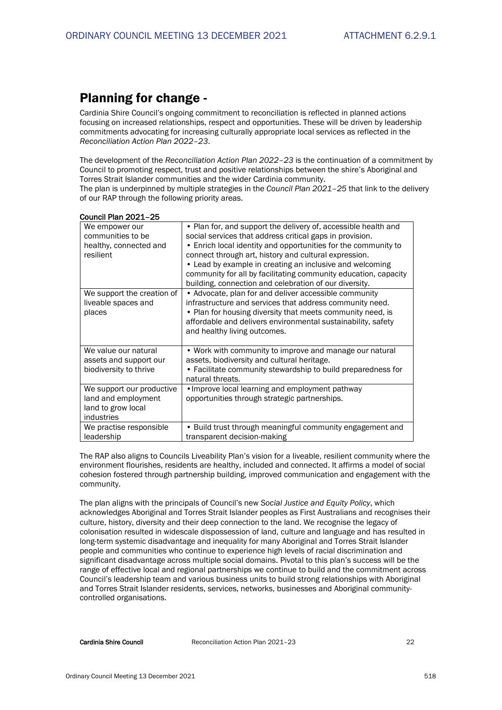## Planning for change -

Cardinia Shire Council's ongoing commitment to reconciliation is reflected in planned actions focusing on increased relationships, respect and opportunities. These will be driven by leadership commitments advocating for increasing culturally appropriate local services as reflected in the *Reconciliation Action Plan 2022–23*.

The development of the *Reconciliation Action Plan 2022–23* is the continuation of a commitment by Council to promoting respect, trust and positive relationships between the shire's Aboriginal and Torres Strait Islander communities and the wider Cardinia community.

The plan is underpinned by multiple strategies in the *Council Plan 2021–25* that link to the delivery of our RAP through the following priority areas.

| Council Plan 2021-25                                                                 |                                                                                                                                                                                                                                                                                                                                                                                                                                                |
|--------------------------------------------------------------------------------------|------------------------------------------------------------------------------------------------------------------------------------------------------------------------------------------------------------------------------------------------------------------------------------------------------------------------------------------------------------------------------------------------------------------------------------------------|
| We empower our<br>communities to be<br>healthy, connected and<br>resilient           | • Plan for, and support the delivery of, accessible health and<br>social services that address critical gaps in provision.<br>• Enrich local identity and opportunities for the community to<br>connect through art, history and cultural expression.<br>• Lead by example in creating an inclusive and welcoming<br>community for all by facilitating community education, capacity<br>building, connection and celebration of our diversity. |
| We support the creation of<br>liveable spaces and<br>places                          | • Advocate, plan for and deliver accessible community<br>infrastructure and services that address community need.<br>• Plan for housing diversity that meets community need, is<br>affordable and delivers environmental sustainability, safety<br>and healthy living outcomes.                                                                                                                                                                |
| We value our natural<br>assets and support our<br>biodiversity to thrive             | • Work with community to improve and manage our natural<br>assets, biodiversity and cultural heritage.<br>• Facilitate community stewardship to build preparedness for<br>natural threats.                                                                                                                                                                                                                                                     |
| We support our productive<br>land and employment<br>land to grow local<br>industries | • Improve local learning and employment pathway<br>opportunities through strategic partnerships.                                                                                                                                                                                                                                                                                                                                               |
| We practise responsible<br>leadership                                                | • Build trust through meaningful community engagement and<br>transparent decision-making                                                                                                                                                                                                                                                                                                                                                       |

The RAP also aligns to Councils Liveability Plan's vision for a liveable, resilient community where the environment flourishes, residents are healthy, included and connected. It affirms a model of social cohesion fostered through partnership building, improved communication and engagement with the community.

The plan aligns with the principals of Council's new *Social Justice and Equity Policy*, which acknowledges Aboriginal and Torres Strait Islander peoples as First Australians and recognises their culture, history, diversity and their deep connection to the land. We recognise the legacy of colonisation resulted in widescale dispossession of land, culture and language and has resulted in long-term systemic disadvantage and inequality for many Aboriginal and Torres Strait Islander people and communities who continue to experience high levels of racial discrimination and significant disadvantage across multiple social domains. Pivotal to this plan's success will be the range of effective local and regional partnerships we continue to build and the commitment across Council's leadership team and various business units to build strong relationships with Aboriginal and Torres Strait Islander residents, services, networks, businesses and Aboriginal communitycontrolled organisations.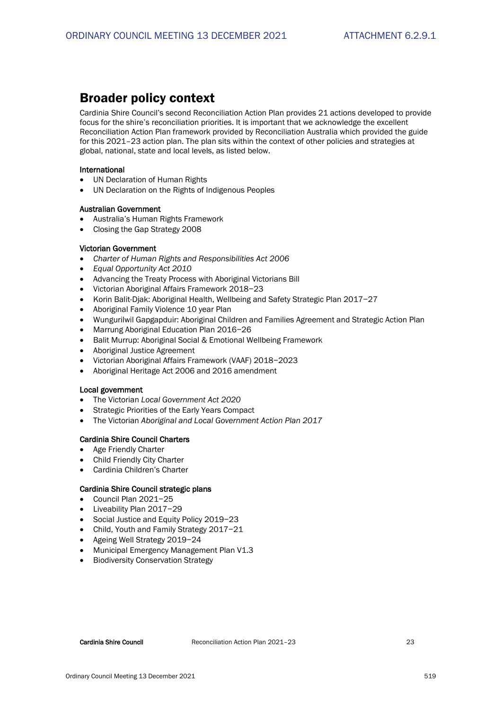## Broader policy context

Cardinia Shire Council's second Reconciliation Action Plan provides 21 actions developed to provide focus for the shire's reconciliation priorities. It is important that we acknowledge the excellent Reconciliation Action Plan framework provided by Reconciliation Australia which provided the guide for this 2021–23 action plan. The plan sits within the context of other policies and strategies at global, national, state and local levels, as listed below.

#### International

- UN Declaration of Human Rights
- UN Declaration on the Rights of Indigenous Peoples

## Australian Government

- Australia's Human Rights Framework
- Closing the Gap Strategy 2008

## Victorian Government

- *Charter of Human Rights and Responsibilities Act 2006*
- *Equal Opportunity Act 2010*
- Advancing the Treaty Process with Aboriginal Victorians Bill
- Victorian Aboriginal Affairs Framework 2018−23
- Korin Balit-Djak: Aboriginal Health, Wellbeing and Safety Strategic Plan 2017−27
- Aboriginal Family Violence 10 year Plan
- Wungurilwil Gapgapduir: Aboriginal Children and Families Agreement and Strategic Action Plan
- Marrung Aboriginal Education Plan 2016−26
- Balit Murrup: Aboriginal Social & Emotional Wellbeing Framework
- Aboriginal Justice Agreement
- Victorian Aboriginal Affairs Framework (VAAF) 2018−2023
- Aboriginal Heritage Act 2006 and 2016 amendment

#### Local government

- The Victorian *Local Government Act 2020*
- Strategic Priorities of the Early Years Compact
- The Victorian *Aboriginal and Local Government Action Plan 2017*

#### Cardinia Shire Council Charters

- Age Friendly Charter
- Child Friendly City Charter
- Cardinia Children's Charter

#### Cardinia Shire Council strategic plans

- Council Plan 2021−25
- Liveability Plan 2017−29
- Social Justice and Equity Policy 2019−23
- Child, Youth and Family Strategy 2017−21
- Ageing Well Strategy 2019−24
- Municipal Emergency Management Plan V1.3
- Biodiversity Conservation Strategy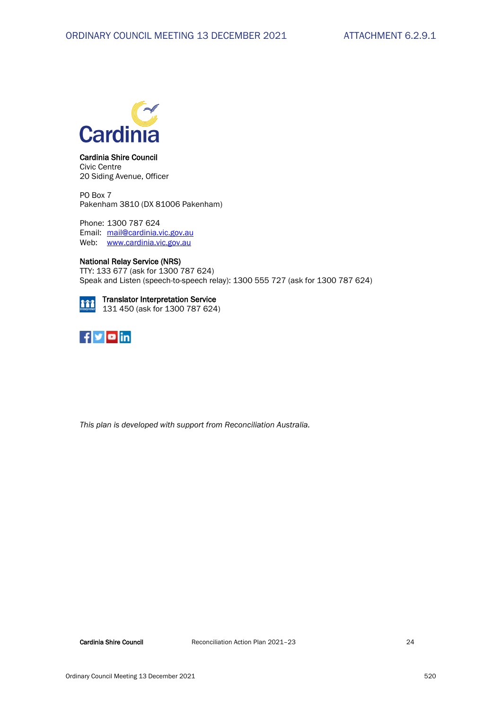

Cardinia Shire Council Civic Centre 20 Siding Avenue, Officer

PO Box 7 Pakenham 3810 (DX 81006 Pakenham)

Phone: 1300 787 624 Email: [mail@cardinia.vic.gov.au](mailto:mail@cardinia.vic.gov.au) Web: [www.cardinia.vic.gov.au](http://www.cardinia.vic.gov.au/)

#### National Relay Service (NRS)

TTY: 133 677 (ask for 1300 787 624) Speak and Listen (speech-to-speech relay): 1300 555 727 (ask for 1300 787 624)

#### Translator Interpretation Service 111 131 450 (ask for 1300 787 624)



*This plan is developed with support from Reconciliation Australia.*

Cardinia Shire Council **Reconciliation Action Plan 2021** - 23 24